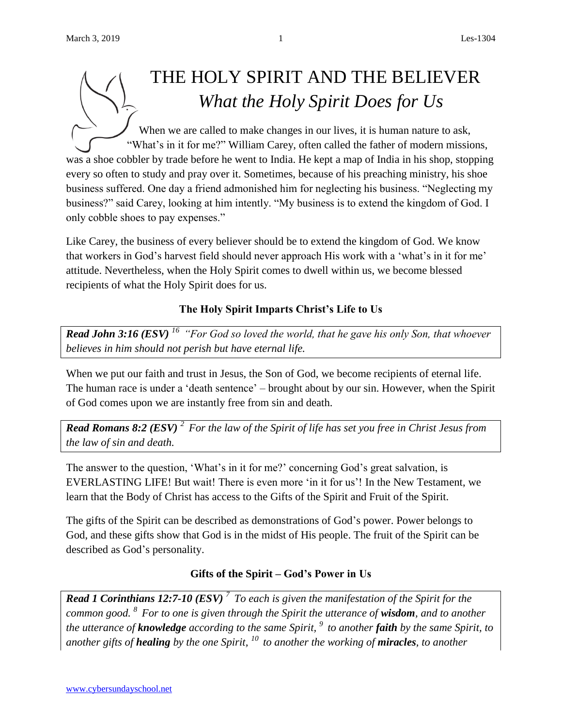# THE HOLY SPIRIT AND THE BELIEVER *What the Holy Spirit Does for Us*

When we are called to make changes in our lives, it is human nature to ask, "What's in it for me?" William Carey, often called the father of modern missions, was a shoe cobbler by trade before he went to India. He kept a map of India in his shop, stopping every so often to study and pray over it. Sometimes, because of his preaching ministry, his shoe business suffered. One day a friend admonished him for neglecting his business. "Neglecting my business?" said Carey, looking at him intently. "My business is to extend the kingdom of God. I only cobble shoes to pay expenses."

Like Carey, the business of every believer should be to extend the kingdom of God. We know that workers in God's harvest field should never approach His work with a 'what's in it for me' attitude. Nevertheless, when the Holy Spirit comes to dwell within us, we become blessed recipients of what the Holy Spirit does for us.

# **The Holy Spirit Imparts Christ's Life to Us**

*Read John 3:16 (ESV) <sup>16</sup>"For God so loved the world, that he gave his only Son, that whoever believes in him should not perish but have eternal life.* 

When we put our faith and trust in Jesus, the Son of God, we become recipients of eternal life. The human race is under a 'death sentence' – brought about by our sin. However, when the Spirit of God comes upon we are instantly free from sin and death.

*Read Romans 8:2 (ESV) <sup>2</sup>For the law of the Spirit of life has set you free in Christ Jesus from the law of sin and death.*

The answer to the question, 'What's in it for me?' concerning God's great salvation, is EVERLASTING LIFE! But wait! There is even more 'in it for us'! In the New Testament, we learn that the Body of Christ has access to the Gifts of the Spirit and Fruit of the Spirit.

The gifts of the Spirit can be described as demonstrations of God's power. Power belongs to God, and these gifts show that God is in the midst of His people. The fruit of the Spirit can be described as God's personality.

# **Gifts of the Spirit – God's Power in Us**

*Read 1 Corinthians 12:7-10 (ESV) <sup>7</sup>To each is given the manifestation of the Spirit for the common good. <sup>8</sup>For to one is given through the Spirit the utterance of wisdom, and to another the utterance of knowledge according to the same Spirit, <sup>9</sup>to another faith by the same Spirit, to another gifts of healing by the one Spirit, <sup>10</sup>to another the working of miracles, to another*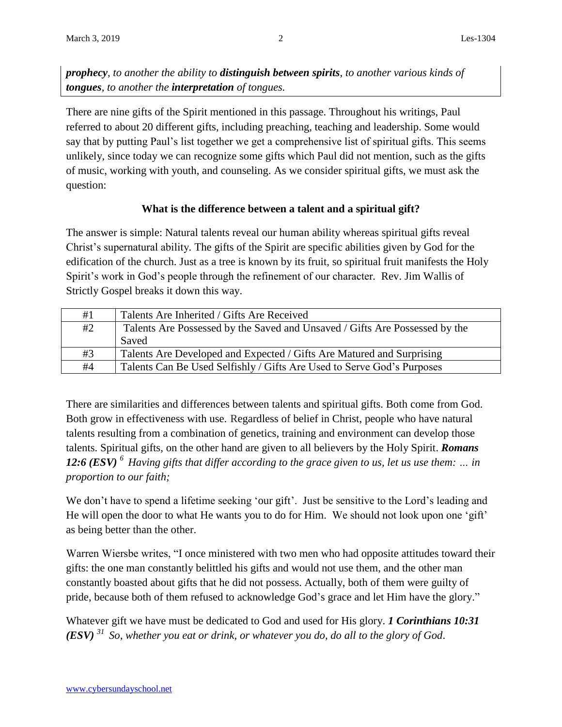*prophecy, to another the ability to distinguish between spirits, to another various kinds of tongues, to another the interpretation of tongues.*

There are nine gifts of the Spirit mentioned in this passage. Throughout his writings, Paul referred to about 20 different gifts, including preaching, teaching and leadership. Some would say that by putting Paul's list together we get a comprehensive list of spiritual gifts. This seems unlikely, since today we can recognize some gifts which Paul did not mention, such as the gifts of music, working with youth, and counseling. As we consider spiritual gifts, we must ask the question:

## **What is the difference between a talent and a spiritual gift?**

The answer is simple: Natural talents reveal our human ability whereas spiritual gifts reveal Christ's supernatural ability*.* The gifts of the Spirit are specific abilities given by God for the edification of the church. Just as a tree is known by its fruit, so spiritual fruit manifests the Holy Spirit's work in God's people through the refinement of our character*.* Rev. Jim Wallis of Strictly Gospel breaks it down this way.

| #1 | Talents Are Inherited / Gifts Are Received                                  |
|----|-----------------------------------------------------------------------------|
| #2 | Talents Are Possessed by the Saved and Unsaved / Gifts Are Possessed by the |
|    | Saved                                                                       |
| #3 | Talents Are Developed and Expected / Gifts Are Matured and Surprising       |
| #4 | Talents Can Be Used Selfishly / Gifts Are Used to Serve God's Purposes      |

There are similarities and differences between talents and spiritual gifts. Both come from God. Both grow in effectiveness with use. Regardless of belief in Christ, people who have natural talents resulting from a combination of genetics, training and environment can develop those talents. Spiritual gifts, on the other hand are given to all believers by the Holy Spirit. *Romans 12:6 (ESV) <sup>6</sup>Having gifts that differ according to the grace given to us, let us use them: … in proportion to our faith;*

We don't have to spend a lifetime seeking 'our gift'. Just be sensitive to the Lord's leading and He will open the door to what He wants you to do for Him. We should not look upon one 'gift' as being better than the other.

Warren Wiersbe writes, "I once ministered with two men who had opposite attitudes toward their gifts: the one man constantly belittled his gifts and would not use them, and the other man constantly boasted about gifts that he did not possess. Actually, both of them were guilty of pride, because both of them refused to acknowledge God's grace and let Him have the glory."

Whatever gift we have must be dedicated to God and used for His glory. *1 Corinthians 10:31 (ESV) <sup>31</sup>So, whether you eat or drink, or whatever you do, do all to the glory of God*.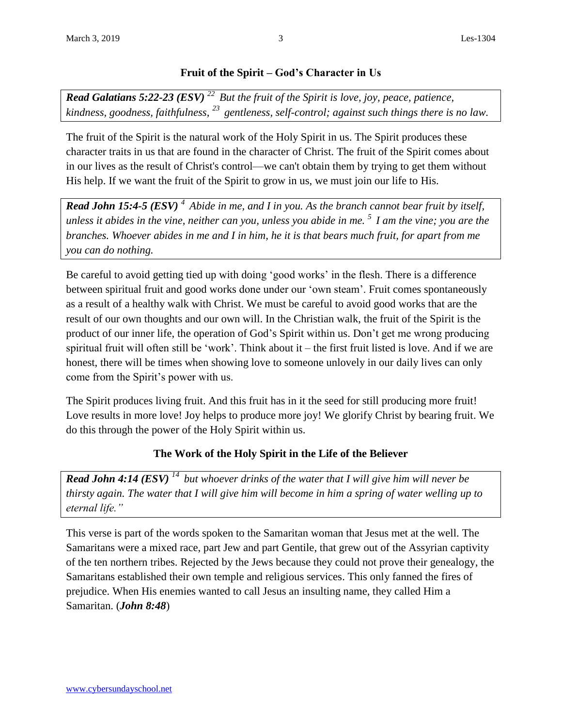### **Fruit of the Spirit – God's Character in Us**

*Read Galatians 5:22-23 (ESV) <sup>22</sup>But the fruit of the Spirit is love, joy, peace, patience, kindness, goodness, faithfulness, <sup>23</sup>gentleness, self-control; against such things there is no law.*

The fruit of the Spirit is the natural work of the Holy Spirit in us. The Spirit produces these character traits in us that are found in the character of Christ. The fruit of the Spirit comes about in our lives as the result of Christ's control—we can't obtain them by trying to get them without His help. If we want the fruit of the Spirit to grow in us, we must join our life to His.

*Read John 15:4-5 (ESV) <sup>4</sup>Abide in me, and I in you. As the branch cannot bear fruit by itself, unless it abides in the vine, neither can you, unless you abide in me. <sup>5</sup>I am the vine; you are the branches. Whoever abides in me and I in him, he it is that bears much fruit, for apart from me you can do nothing.*

Be careful to avoid getting tied up with doing 'good works' in the flesh. There is a difference between spiritual fruit and good works done under our 'own steam'. Fruit comes spontaneously as a result of a healthy walk with Christ. We must be careful to avoid good works that are the result of our own thoughts and our own will. In the Christian walk, the fruit of the Spirit is the product of our inner life, the operation of God's Spirit within us. Don't get me wrong producing spiritual fruit will often still be 'work'. Think about it – the first fruit listed is love. And if we are honest, there will be times when showing love to someone unlovely in our daily lives can only come from the Spirit's power with us.

The Spirit produces living fruit. And this fruit has in it the seed for still producing more fruit! Love results in more love! Joy helps to produce more joy! We glorify Christ by bearing fruit. We do this through the power of the Holy Spirit within us.

### **The Work of the Holy Spirit in the Life of the Believer**

*Read John 4:14 (ESV) <sup>14</sup>but whoever drinks of the water that I will give him will never be thirsty again. The water that I will give him will become in him a spring of water welling up to eternal life."*

This verse is part of the words spoken to the Samaritan woman that Jesus met at the well. The Samaritans were a mixed race, part Jew and part Gentile, that grew out of the Assyrian captivity of the ten northern tribes. Rejected by the Jews because they could not prove their genealogy, the Samaritans established their own temple and religious services. This only fanned the fires of prejudice. When His enemies wanted to call Jesus an insulting name, they called Him a Samaritan. (*John 8:48*)